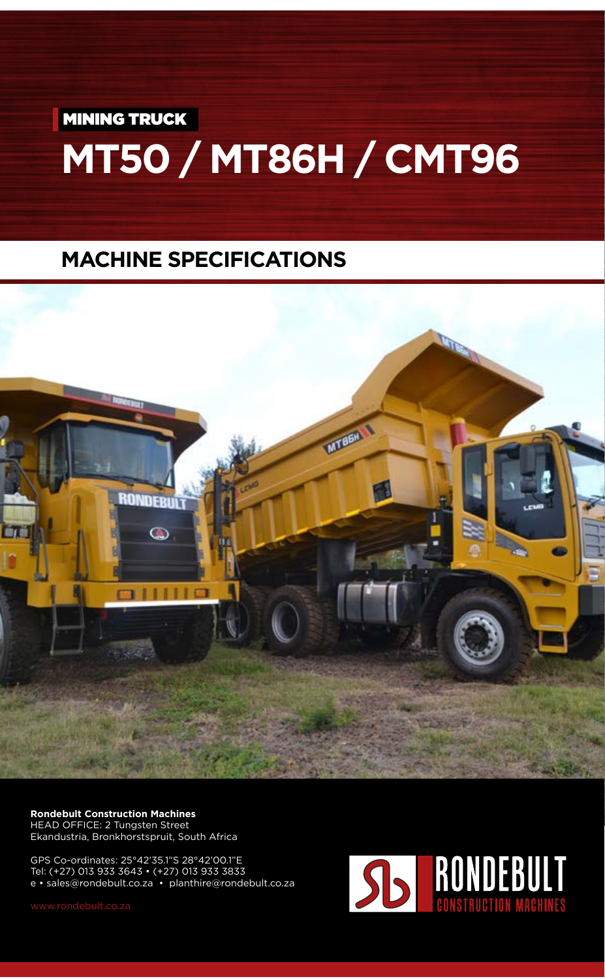**MINING TRUCK** 

## **MT50 / MT86H / CMT96**

## **MACHINE SPECIFICATIONS**



**Rondebult Construction Machines** HEAD OFFICE: 2 Tungsten Street Ekandustria, Bronkhorstspruit, South Africa

GPS Co-ordinates: 25°42'35.1"S 28°42'00.1"E Tel: (+27) 013 933 3643 • (+27) 013 933 3833 e • sales@rondebult.co.za • planthire@rondebult.co.za

v.rondebult.co